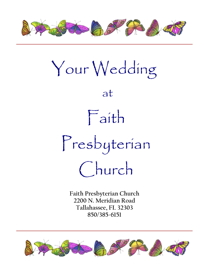

Your Wedding at Faith Presbyterian Church

**Faith Presbyterian Church 2200 N. Meridian Road Tallahassee, FL 32303 850/385-6151**

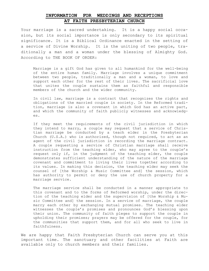# **INFORMATION FOR WEDDINGS AND RECEPTIONS AT FAITH PRESBYTERIAN CHURCH**

Your marriage is a sacred undertaking. It is a happy social occasion, but its social importance is only secondary to its spiritual significance. It is a Biblical Ordinance enacted in the setting of a service of Divine Worship. It is the uniting of two people, traditionally a man and a woman under the blessing of Almighty God. According to THE BOOK OF ORDER:

Marriage is a gift God has given to all humankind for the well-being of the entire human family. Marriage involves a unique commitment between two people, traditionally a man and a woman, to love and support each other for the rest of their lives. The sacrificial love that unites the couple sustains them as faithful and responsible members of the church and the wider community.

In civil law, marriage is a contract that recognizes the rights and obligations of the married couple in society. In the Reformed tradition, marriage is also a covenant in which God has an active part, and which the community of faith publicly witnesses and acknowledges.

If they meet the requirements of the civil jurisdiction in which they intend to marry, a couple may request that a service of Christian marriage be conducted by a teach elder in the Presbyterian Church (U.S.A.) who is authorized, though not required, to act as an agent of the civil jurisdiction in recording the marriage contract. A couple requesting a service of Christian marriage shall receive instruction from the teaching elder, who may agree to the couple's request only if, in the judgment of the teaching elder, the couple demonstrates sufficient understanding of the nature of the marriage covenant and commitment to living their lives together according to its values. In making this decision, the teaching elder may seek the counsel of [the Worship & Music Committee and] the session, which has authority to permit or deny the use of church property for a marriage service.

The marriage service shall be conducted in a manner appropriate to this covenant and to the forms of Reformed worship, under the direction of the teaching elder and the supervision of [the Worship & Music Committee and] the session. In a service of marriage, the couple marry each other by exchanging mutual promises. The teaching elder witnesses the couple's promises and pronounces God's blessing upon their union. The community of faith pleges to support the couple in upholding their promises; prayers may be offered for the couple, for the communities that support them, and for all who seek to live in faithfulness.

We are happy that Faith Presbyterian Church can serve you at this important time. The sanctuary and other facilities at Faith are available only to church members and their families.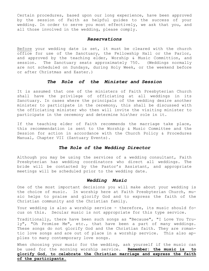Certain procedures, based upon our long experience, have been approved by the session of Faith as helpful guides to the success of your wedding. In order to serve you most effectively, we ask that you, and all those involved in the wedding, please comply.

### *Reservations*

Before your wedding date is set, it must be cleared with the church office for use of the Sanctuary, the Fellowship Hall or the Parlor, and approved by the teaching elder, Worship & Music Committion, and session. The Sanctuary seats approximately 750. (Weddings normally are not scheduled on Sundays, during Holy Week, or the weekend before or after Christmas and Easter.)

# *The Role of the Minister and Session*

It is assumed that one of the ministers of Faith Presbyterian Church shall have the privilege of officiating at all weddings in its Sanctuary. In cases where the principals of the wedding desire another minister to participate in the ceremony, this shall be discussed with the officiating minister who then will invite the visiting minister to participate in the ceremony and determine his\her role in it.

If the teaching elder of Faith recommends the marriage take place, this recommendation is sent to the Worship & Music Committee and the Session for action in accordance with the Church Policy & Procedures Manual, Chapter VII (Santuary Events).

## *The Role of the Wedding Director*

Although you may be using the services of a wedding consultant, Faith Presbyterian has wedding coordinators who direct all weddings. The bride will be contacted by the Pastor's Assistant, and appropriate meetings will be scheduled prior to the wedding date.

#### *Wedding Music*

One of the most important decisions you will make about your wedding is the choice of music. In worship here at Faith Presbyterian Church, music helps to praise and glorify God and to express the faith of the Christian community and the Christian family.

Your wedding is also a worship service - therefore, its music should focus on this. Secular music is not appropriate for this type service.

Traditionally, there have been such songs as "Because", "I Love You Truly", "Oh Promise Me", etc., that have been a part of many weddings. These songs do not glorify God and the Christian faith. They are romantic love songs and are out of place in a worship service. This also applies to many contemporary love songs.

When choosing your music for the wedding, ask yourself if the music can be used for the morning worship service. **Remember: the music is to glorify God, to celebrate the Christian marriage and express the faith of the participants.**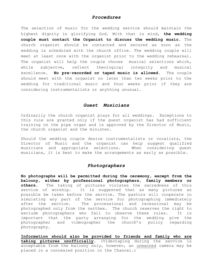## *Procedures*

The selection of music for the wedding service should maintain the highest dignity in glorifying God. With that in mind, **the wedding couple must contact the Organist to discuss the wedding music.** The church organist should be contacted and secured as soon as the wedding is scheduled with the church office. The wedding couple will meet at least once with the organist prior to the wedding rehearsal. The organist will help the couple choose musical selections which, while subjectve, reflect theological integrity and musical excellence. **No pre-recorded or taped music is allowed.** The couple should meet with the organist no later than two weeks prior to the wedding for traditional music and four weeks prior if they are considering instrumentalists or anything unusual.

### *Guest Musicians*

Ordinarily the church organist plays for all weddings. Exceptions to this rule are granted only if the guest organist has had sufficient training on the pipe organ and is approved by the Director of Music, the church organist and the minister.

Should the wedding couple desire instrumentalists or vocalists, the Director of Music and the organist can help suggest qualified musicians and appropriate selections. When considering guest musicians, it is best to make the arrangements as early as possible.

# *Photographers*

**No photographs will be permitted during the ceremony, except from the balcony, either by professional photographers, family members or others.** The taking of pictures violates the sacredness of this service of worship. It is suggested that as many pictures as possible be taken before the service. The pastors will cooperate in simulating any part of the service for photographing immediately after the service. The processional and recessional may be photographed only from the narthex. The church reserves the right to exclude photographers who fail to observe these rules. It is important that the party arranging for the wedding give the photographer and videographer the church's policy regarding photography.

**Information should also be provided to friends and family who are taking pictures unofficially.** (Videotaping during the service is acceptable from the balcony only, however, an unmanned camera may be placed in a concealed position in the Chancel.)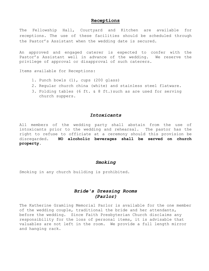## **Receptions**

The Fellowship Hall, Courtyard and Kitchen are available for receptions. The use of these facilities should be scheduled through the Pastor's Assistant when the wedding date is secured.

An approved and engaged caterer is expected to confer with the Pastor's Assistant well in advance of the wedding. We reserve the privilege of approval or disapproval of such caterers.

Items available for Receptions:

- 1. Punch bowls (1), cups (200 glass)
- 2. Regular church china (white) and stainless steel flatware.
- 3. Folding tables (6 ft. & 8 ft.)such as are used for serving church suppers.

## *Intoxicants*

All members of the wedding party shall abstain from the use of intoxicants prior to the wedding and rehearsal. The pastor has the right to refuse to officiate at a ceremony should this provision be disregarded. **NO alcoholic beverages shall be served on church property.**

#### *Smoking*

Smoking in any church building is prohibited.

# *Bride's Dressing Rooms (Parlor)*

The Katherine Gramling Memorial Parlor is available for the one member of the wedding couple, traditional the bride and her attendants, before the wedding. Since Faith Presbyterian Church disclaims any responsibility for the loss of personal items, it is advisable that valuables are not left in the room. We provide a full length mirror and hanging rack.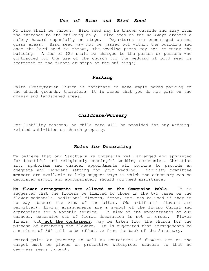### *Use of Rice and Bird Seed*

No rice shall be thrown. Bird seed may be thrown outside and away from the entrance to the building only. Bird seed on the walkways creates a safety hazard especially on steps. Departures are encouraged across grass areas. Bird seed may not be passed out within the building and once the bird seed is thrown, the wedding party may not re-enter the building. A fee of \$25 shall be charged to the person or persons who contracted for the use of the church for the wedding if bird seed is scattered on the floors or steps of the buildings).

## *Parking*

Faith Presbyterian Church is fortunate to have ample paved parking on the church grounds, therefore, it is asked that you do not park on the grassy and landscaped areas.

# *Childcare/Nursery*

For liability reasons, no child care will be provided for any weddingrelated activities on church property.

# *Rules for Decorating*

We believe that our Sanctuary is unusually well arranged and appointed for beautiful and religiously meaningful wedding ceremonies. Christian art, symbolism and chancel appointments all combine to provide an adequate and reverent setting for your wedding. Sacristy committee members are available to help suggest ways in which the sanctuary can be decorated simply and appropriately should you need assistance.

**No flower arrangements are allowed on the Communion table.** It is suggested that the flowers be limited to those in the two vases on the flower pedestals. Additional flowers, ferns, etc. may be used if they in no way obscure the view of the altar. (No artificial flowers are permitted). Living arrangements are a symbol of the living Christ and appropriate for a worship service. In view of the appointments of our chancel, excessive use of floral decoration is not in order. Flower liners, but **not the containers**, may be taken from the church for the purpose of arranging the flowers. It is suggested that arrangements be a minimum of 36" tall to be effective from the back of the Sanctuary.

Potted palms or greenery as well as containers of flowers set on the carpet must be placed on protective waterproof saucers so that no dampness seeps through.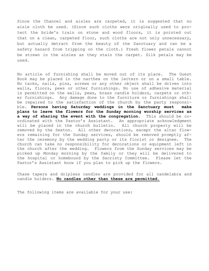Since the Chancel and aisles are carpeted, it is suggested that no aisle cloth be used. (Since such cloths were originally used to protect the bride's train on stone and wood floors, it is pointed out that on a clean, carpeted floor, such cloths are not only unnecessary, but actually detract from the beauty of the Sanctuary and can be a safety hazard from tripping on the cloth.) Fresh flower petals cannot be strewn in the aisles as they stain the carpet. Silk petals may be used.

No article of furnishing shall be moved out of its place. The Guest Book may be placed in the narthex on the lectern or on a small table. No tacks, nails, pins, screws or any other object shall be driven into walls, floors, pews or other furnishings. No use of adhesive material is permitted on the walls, pews, brass candle holders, carpets or other furnishings. Any damage done to the furniture or furnishings shall be repaired to the satisfaction of the church by the party responsible. **Persons having Saturday weddings in the Sanctuary must make plans to leave the flowers for the Sunday morning worship services as a way of sharing the event with the congregation.** This should be coordinated with the Pastor's Assistant. An appropriate acknowledgment will be placed in the church bulletin. All church property will be removed by the Sexton. All other decorations, except the altar flowers remaining for the Sunday services, should be removed promptly after the ceremony by the wedding party or its florist or designee. The church can take no responsibility for decorations or equipment left in the church after the wedding. Flowers from the Sunday services may be picked up Monday morning by the family or they will be delivered to the hospital or homebound by the Sacristy Committee. Please let the Pastor's Assistant know if you plan to pick up the flowers.

Chase tapers and dripless candles are provided for all candelabra and candle holders. **No candles other than these are permitted.**

The following items are available for your use: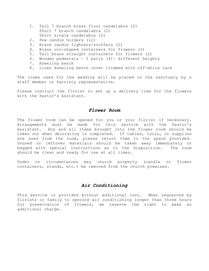- 1. Tall 7 branch brass floor candelabra (2) Short 7 branch candelabra (2) Short single candelabra (2)
- 2. Pew candle holders (12)
- 3. Brass candle lighters/snuffers (2)
- 4. Brass urn-shaped containers for flowers (2)
- 5. Tall brass straight containers for flowers (2)
- 6. Wooden pedestals 2 pairs (4)- different heights
- 7. Kneeling bench
- 8. Linen kneeling bench cover trimmed with off-white lace

The items used for the wedding will be placed in the sanctuary by a staff member or Sacristy representative.

Please instruct the florist to set up a delivery time for the flowers with the Pastor's Assistant.

### *Flower Room*

The flower room can be opened for you or your florist if necessary. Arrangements must be made for this service with the Pastor's Assistant. Any and all items brought into the flower room should be taken out when decorating is completed. If tables, tools, or supplies are used from the room, please return them to the space provided. Unused or leftover materials should be taken away immediately or bagged with special instructions as to the disposition. The room should be clean and ready for use at all times.

Under no circumstances may church property (candle or flower containers, stands, etc.) be removed from the church premises.

## *Air Conditioning*

This service is provided without additional cost. When requested by florists or family to operate air conditioning longer than three hours for preservation of flowers, we reserve the right to make an additional charge.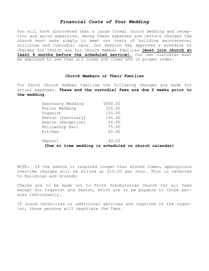## *Financial Costs of Your Wedding*

You will have discovered that a large formal church wedding and reception are quite expensive. Among these expenses are certain charges the church must make simply to meet our costs of building maintenance, utilities and custodial care. Our Session has approved a schedule of charges for church use for church member families **(must join church at least 6 months before the scheduled service).** Our own custodian must be employed to see that all rooms are clean and in proper order.

#### *Church Members or Their Families*

For Faith Church member families the following charges are made for actual expenses. **These and the custodial fees are due 2 weeks prior to the wedding**.

| Sanctuary Wedding  | \$400.00 |
|--------------------|----------|
| Parlor Wedding     | 325.00   |
| Organist           | 150.00   |
| Sexton (Sanctuary) | 100.00   |
| Sexton (Reception) | 50.00    |
| Fellowship Hall    | 75.00    |
| Kitchen            | 65.00    |
|                    |          |
| Deposit            | 40.00    |

**(Due at time wedding is scheduled on church calendar)**

NOTE: If the sexton is required longer than stated times, appropriate overtime charges will be billed at \$15.00 per hour. This is referred to Buildings and Grounds.

Checks are to be made out to Faith Presbyterian Church for all fees except for Organist and Sexton, which are to be payable to those persons individually.

If sound technician or additional services are required of the organist, those persons will negotiate the fees.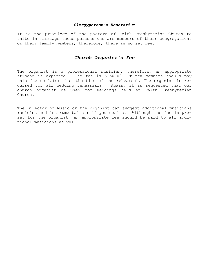#### *Clergyperson's Honorarium*

It is the privilege of the pastors of Faith Presbyterian Church to unite in marriage those persons who are members of their congregation, or their family members; therefore, there is no set fee.

#### *Church Organist's Fee*

The organist is a professional musician; therefore, an appropriate stipend is expected. The fee is \$150.00. Church members should pay this fee no later than the time of the rehearsal. The organist is required for all wedding rehearsals. Again, it is requested that our church organist be used for weddings held at Faith Presbyterian Church.

The Director of Music or the organist can suggest additional musicians (soloist and instrumentalist) if you desire. Although the fee is preset for the organist, an appropriate fee should be paid to all additional musicians as well.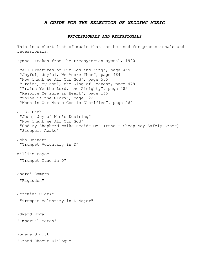#### *A GUIDE FOR THE SELECTION OF WEDDING MUSIC*

#### *PROCESSIONALS AND RECESSIONALS*

This is a short list of music that can be used for processionals and recessionals.

Hymns (taken from The Presbyterian Hymnal, 1990)

"All Creatures of Our God and King", page 455 "Joyful, Joyful, We Adore Thee", page 464 "Now Thank We All Our God", page 555 "Praise, My soul, the King of Heaven", page 479 "Praise Ye the Lord, the Almighty", page 482 "Rejoice Ye Pure in Heart", page 145 "Thine is the Glory", page 122 "When in Our Music God is Glorified", page 264

J. S. Bach "Jesu, Joy of Man's Desiring" "Now Thank We All Our God" "God My Shepherd Walks Beside Me" (tune - Sheep May Safely Graze) "Sleepers Awake"

John Bennett "Trumpet Voluntary in D"

William Boyce

"Trumpet Tune in D"

Andre' Campra

"Rigaudon"

Jeremiah Clarke

"Trumpet Voluntary in D Major"

Edward Edgar "Imperial March"

Eugene Gigout "Grand Choeur Dialogue"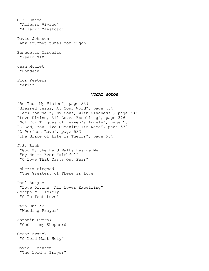G.F. Handel "Allegro Vivace" "Allegro Maestoso"

David Johnson Any trumpet tunes for organ

Benedetto Marcello "Psalm XIX"

Jean Mouret "Rondeau"

Flor Peeters "Aria"

#### *VOCAL SOLOS*

"Be Thou My Vision", page 339 "Blessed Jesus, At Your Word", page 454 "Deck Yourself, My Sous, with Gladness", page 506 "Love Divine, All Loves Excelling", page 376 "Not For Tongues of Heaven's Angels", page 531 "O God, You Give Humanity Its Name", page 532 "O Perfect Love", page 533 "The Grace of Life is Theirs", page 534 J.S. Bach "God My Shepherd Walks Beside Me" "My Heart Ever Faithful" "O Love That Casts Out Fear" Roberta Bitgood "The Greatest of These is Love" Paul Bunjes "Love Divine, All Loves Excelling" Joseph W. Clokely "O Perfect Love" Fern Dunlap "Wedding Prayer" Antonin Dvorak "God is my Shepherd" Cesar Franck "O Lord Most Holy" David Johnson "The Lord's Prayer"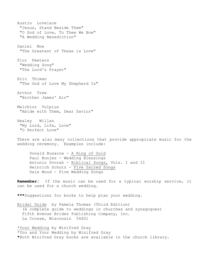Austin Lovelace "Jesus, Stand Beside Them" "O God of Love, To Thee We Bow" "A Wedding Benediction" Daniel Moe "The Greatest of These is Love" Flor Peeters "Wedding Song" "The Lord's Prayer" Eric Thiman "The God of Love My Shepherd Is" Arthur Trew "Brother James' Air" Melchior Vulpius "Abide with Them, Dear Savior" Healey Willan "My Lord, Life, Love" "O Perfect Love" There are also many collections that provide appropriate music for the wedding ceremony. Examples include:

Donald Busarow - A Ring of Gold Paul Bunjes - Wedding Blessings Antonin Dvorak - Biblical Songs, Vols. I and II Heinrich Schutz - Five Sacred Songs Dale Wood - Five Wedding Songs

**Remember:** If the music can be used for a typical worship service, it can be used for a church wedding.

**\*\*\***Suggestions for books to help plan your wedding.

Bridal Guide by Pamela Thomas (Third Edition) (A complete guide to weddings in churches and synagogues) Fifth Avenue Brides Publishing Company, Inc. La Crosse, Wisconsin 54601

\*Your Wedding by Winifred Gray \*You and Your Wedding by Winifred Gray **\***Both Winifred Gray books are available in the church library.